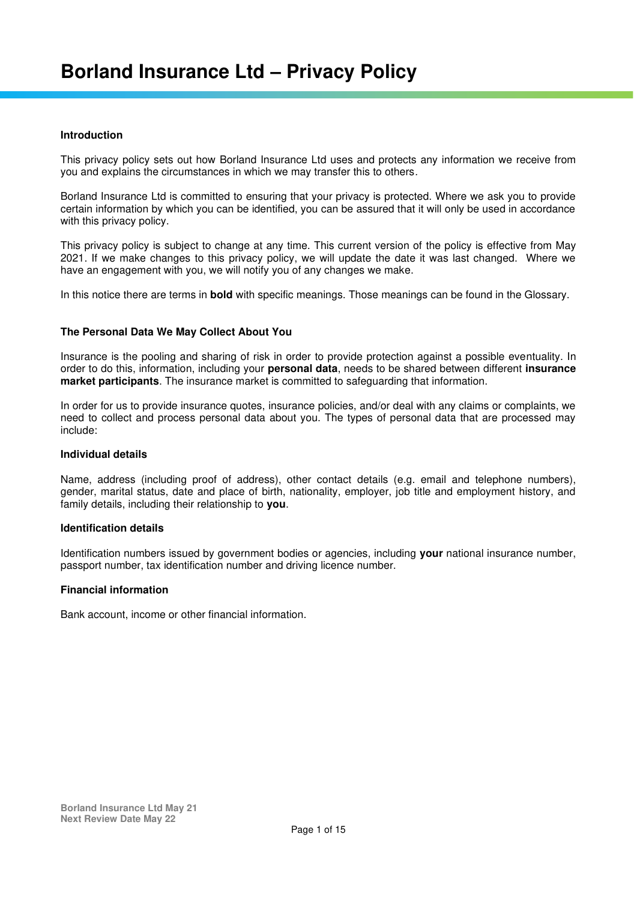#### **Introduction**

This privacy policy sets out how Borland Insurance Ltd uses and protects any information we receive from you and explains the circumstances in which we may transfer this to others.

Borland Insurance Ltd is committed to ensuring that your privacy is protected. Where we ask you to provide certain information by which you can be identified, you can be assured that it will only be used in accordance with this privacy policy.

This privacy policy is subject to change at any time. This current version of the policy is effective from May 2021. If we make changes to this privacy policy, we will update the date it was last changed. Where we have an engagement with you, we will notify you of any changes we make.

In this notice there are terms in **bold** with specific meanings. Those meanings can be found in the Glossary.

# **The Personal Data We May Collect About You**

Insurance is the pooling and sharing of risk in order to provide protection against a possible eventuality. In order to do this, information, including your **personal data**, needs to be shared between different **insurance market participants**. The insurance market is committed to safeguarding that information.

In order for us to provide insurance quotes, insurance policies, and/or deal with any claims or complaints, we need to collect and process personal data about you. The types of personal data that are processed may include:

#### **Individual details**

Name, address (including proof of address), other contact details (e.g. email and telephone numbers), gender, marital status, date and place of birth, nationality, employer, job title and employment history, and family details, including their relationship to **you**.

#### **Identification details**

Identification numbers issued by government bodies or agencies, including **your** national insurance number, passport number, tax identification number and driving licence number.

#### **Financial information**

Bank account, income or other financial information.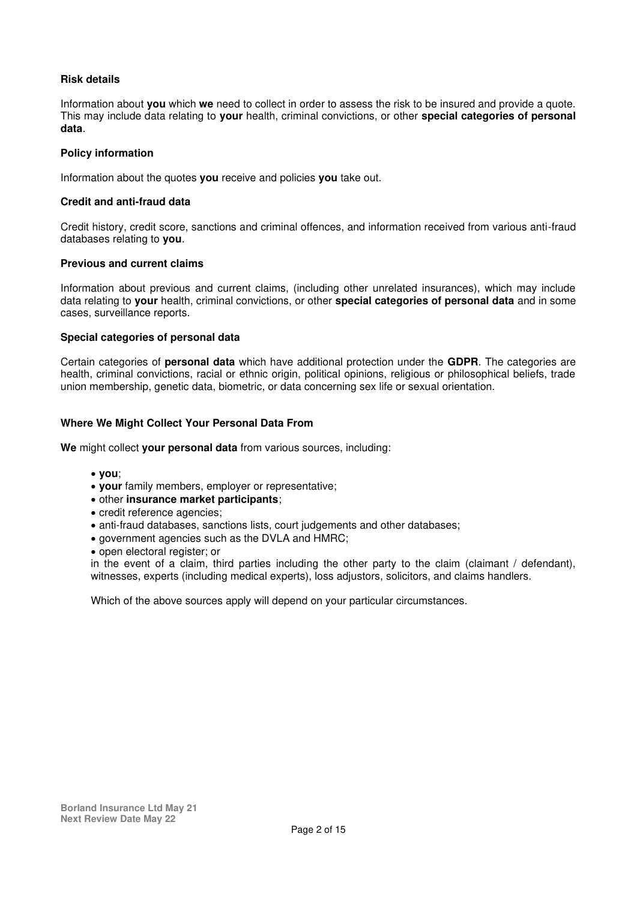# **Risk details**

Information about **you** which **we** need to collect in order to assess the risk to be insured and provide a quote. This may include data relating to **your** health, criminal convictions, or other **special categories of personal data**.

# **Policy information**

Information about the quotes **you** receive and policies **you** take out.

# **Credit and anti-fraud data**

Credit history, credit score, sanctions and criminal offences, and information received from various anti-fraud databases relating to **you**.

#### **Previous and current claims**

Information about previous and current claims, (including other unrelated insurances), which may include data relating to **your** health, criminal convictions, or other **special categories of personal data** and in some cases, surveillance reports.

#### **Special categories of personal data**

Certain categories of **personal data** which have additional protection under the **GDPR**. The categories are health, criminal convictions, racial or ethnic origin, political opinions, religious or philosophical beliefs, trade union membership, genetic data, biometric, or data concerning sex life or sexual orientation.

# **Where We Might Collect Your Personal Data From**

**We** might collect **your personal data** from various sources, including:

- **you**;
- **your** family members, employer or representative;
- other **insurance market participants**;
- credit reference agencies;
- anti-fraud databases, sanctions lists, court judgements and other databases;
- government agencies such as the DVLA and HMRC;
- open electoral register; or

in the event of a claim, third parties including the other party to the claim (claimant / defendant), witnesses, experts (including medical experts), loss adjustors, solicitors, and claims handlers.

Which of the above sources apply will depend on your particular circumstances.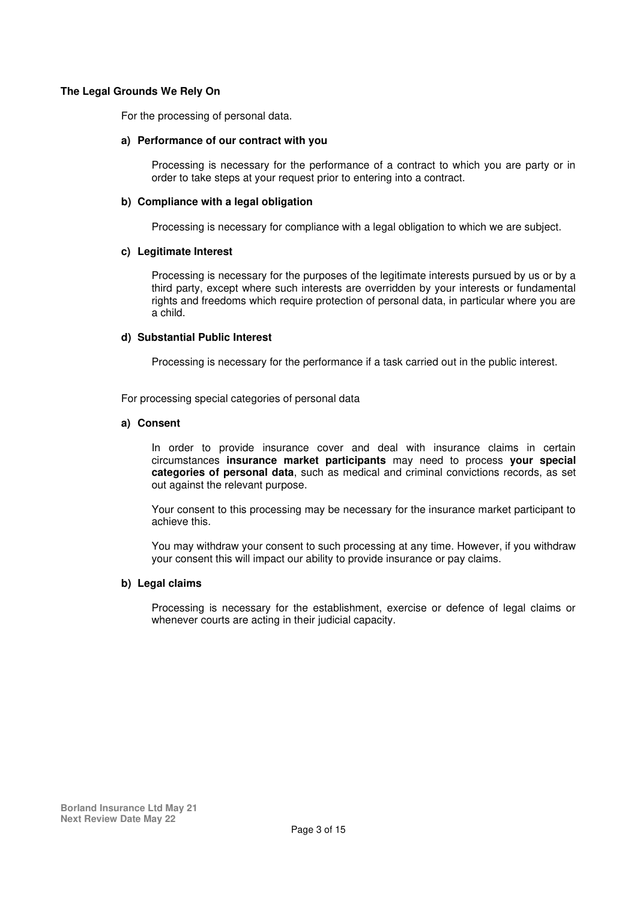#### **The Legal Grounds We Rely On**

For the processing of personal data.

#### **a) Performance of our contract with you**

Processing is necessary for the performance of a contract to which you are party or in order to take steps at your request prior to entering into a contract.

### **b) Compliance with a legal obligation**

Processing is necessary for compliance with a legal obligation to which we are subject.

#### **c) Legitimate Interest**

Processing is necessary for the purposes of the legitimate interests pursued by us or by a third party, except where such interests are overridden by your interests or fundamental rights and freedoms which require protection of personal data, in particular where you are a child.

#### **d) Substantial Public Interest**

Processing is necessary for the performance if a task carried out in the public interest.

For processing special categories of personal data

#### **a) Consent**

In order to provide insurance cover and deal with insurance claims in certain circumstances **insurance market participants** may need to process **your special categories of personal data**, such as medical and criminal convictions records, as set out against the relevant purpose.

Your consent to this processing may be necessary for the insurance market participant to achieve this.

You may withdraw your consent to such processing at any time. However, if you withdraw your consent this will impact our ability to provide insurance or pay claims.

# **b) Legal claims**

Processing is necessary for the establishment, exercise or defence of legal claims or whenever courts are acting in their judicial capacity.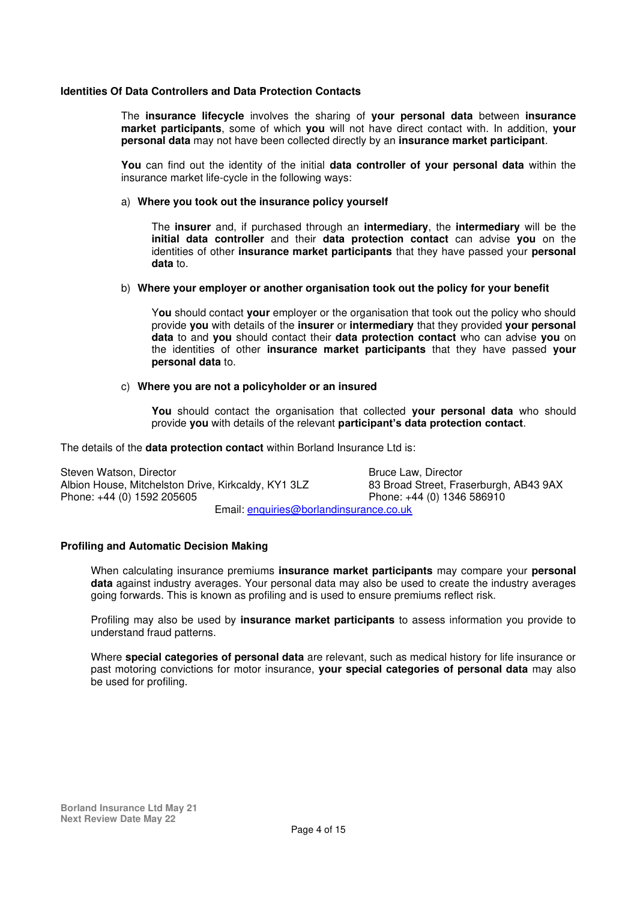#### **Identities Of Data Controllers and Data Protection Contacts**

The **insurance lifecycle** involves the sharing of **your personal data** between **insurance market participants**, some of which **you** will not have direct contact with. In addition, **your personal data** may not have been collected directly by an **insurance market participant**.

**You** can find out the identity of the initial **data controller of your personal data** within the insurance market life-cycle in the following ways:

#### a) **Where you took out the insurance policy yourself**

The **insurer** and, if purchased through an **intermediary**, the **intermediary** will be the **initial data controller** and their **data protection contact** can advise **you** on the identities of other **insurance market participants** that they have passed your **personal data** to.

#### b) **Where your employer or another organisation took out the policy for your benefit**

Y**ou** should contact **your** employer or the organisation that took out the policy who should provide **you** with details of the **insurer** or **intermediary** that they provided **your personal data** to and **you** should contact their **data protection contact** who can advise **you** on the identities of other **insurance market participants** that they have passed **your personal data** to.

#### c) **Where you are not a policyholder or an insured**

**You** should contact the organisation that collected **your personal data** who should provide **you** with details of the relevant **participant's data protection contact**.

The details of the **data protection contact** within Borland Insurance Ltd is:

Steven Watson, Director<br>Albion House, Mitchelston Drive, Kirkcaldy, KY1 3LZ 83 Broad Street, Fraserburgh, AB43 9AX Albion House, Mitchelston Drive, Kirkcaldy, KY1 3LZ<br>Phone: +44 (0) 1592 205605 Email: [enquiries@borlandinsurance.co.uk](mailto:enquiries@borlandinsurance.co.uk)

Phone:  $+44$  (0) 1346 586910

# **Profiling and Automatic Decision Making**

When calculating insurance premiums **insurance market participants** may compare your **personal data** against industry averages. Your personal data may also be used to create the industry averages going forwards. This is known as profiling and is used to ensure premiums reflect risk.

Profiling may also be used by **insurance market participants** to assess information you provide to understand fraud patterns.

Where **special categories of personal data** are relevant, such as medical history for life insurance or past motoring convictions for motor insurance, **your special categories of personal data** may also be used for profiling.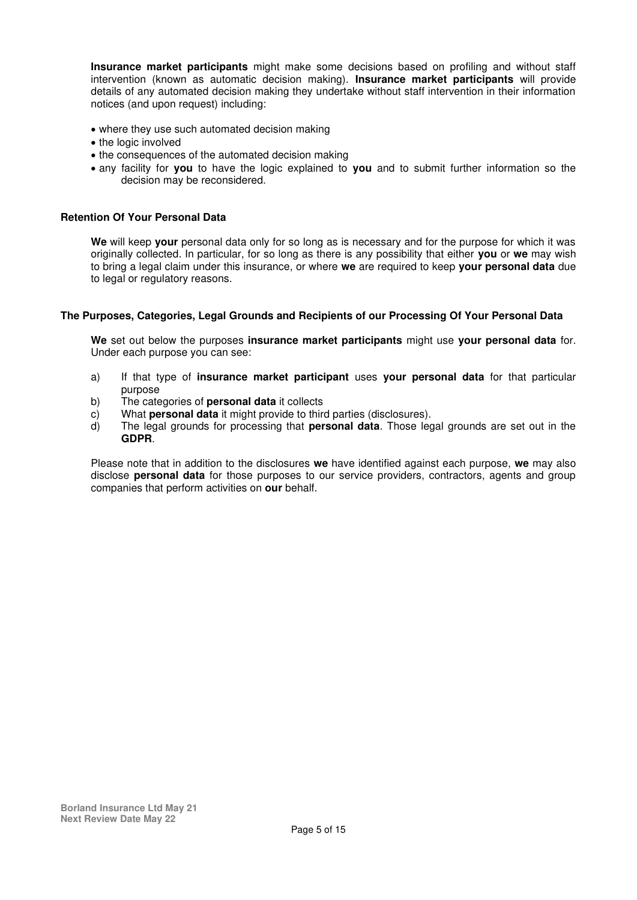**Insurance market participants** might make some decisions based on profiling and without staff intervention (known as automatic decision making). **Insurance market participants** will provide details of any automated decision making they undertake without staff intervention in their information notices (and upon request) including:

- where they use such automated decision making
- the logic involved
- the consequences of the automated decision making
- any facility for **you** to have the logic explained to **you** and to submit further information so the decision may be reconsidered.

# **Retention Of Your Personal Data**

**We** will keep **your** personal data only for so long as is necessary and for the purpose for which it was originally collected. In particular, for so long as there is any possibility that either **you** or **we** may wish to bring a legal claim under this insurance, or where **we** are required to keep **your personal data** due to legal or regulatory reasons.

# **The Purposes, Categories, Legal Grounds and Recipients of our Processing Of Your Personal Data**

**We** set out below the purposes **insurance market participants** might use **your personal data** for. Under each purpose you can see:

- a) If that type of **insurance market participant** uses **your personal data** for that particular purpose
- b) The categories of **personal data** it collects
- c) What **personal data** it might provide to third parties (disclosures).
- d) The legal grounds for processing that **personal data**. Those legal grounds are set out in the **GDPR**.

Please note that in addition to the disclosures **we** have identified against each purpose, **we** may also disclose **personal data** for those purposes to our service providers, contractors, agents and group companies that perform activities on **our** behalf.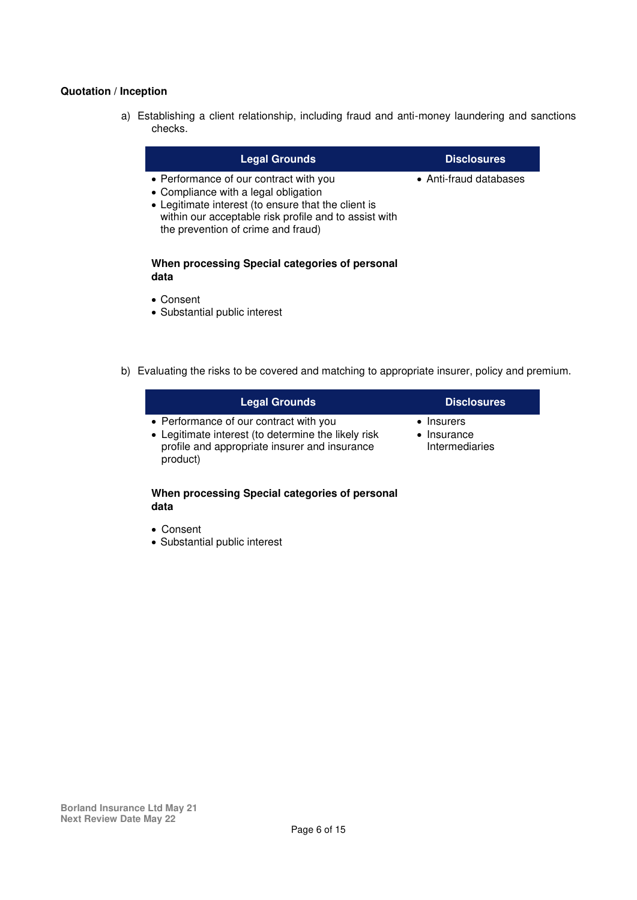# **Quotation / Inception**

a) Establishing a client relationship, including fraud and anti-money laundering and sanctions checks.

| <b>Legal Grounds</b>                                                                                                                                                                                                                 | <b>Disclosures</b>     |
|--------------------------------------------------------------------------------------------------------------------------------------------------------------------------------------------------------------------------------------|------------------------|
| • Performance of our contract with you<br>• Compliance with a legal obligation<br>• Legitimate interest (to ensure that the client is<br>within our acceptable risk profile and to assist with<br>the prevention of crime and fraud) | • Anti-fraud databases |
| When processing Special categories of personal<br>data                                                                                                                                                                               |                        |
| $\bullet$ Consent<br>• Substantial public interest                                                                                                                                                                                   |                        |

b) Evaluating the risks to be covered and matching to appropriate insurer, policy and premium.

| <b>Legal Grounds</b>                                                                                                                                       | <b>Disclosures</b>                                  |
|------------------------------------------------------------------------------------------------------------------------------------------------------------|-----------------------------------------------------|
| • Performance of our contract with you<br>• Legitimate interest (to determine the likely risk<br>profile and appropriate insurer and insurance<br>product) | • Insurers<br>$\bullet$ Insurance<br>Intermediaries |

# **When processing Special categories of personal data**

- Consent
- Substantial public interest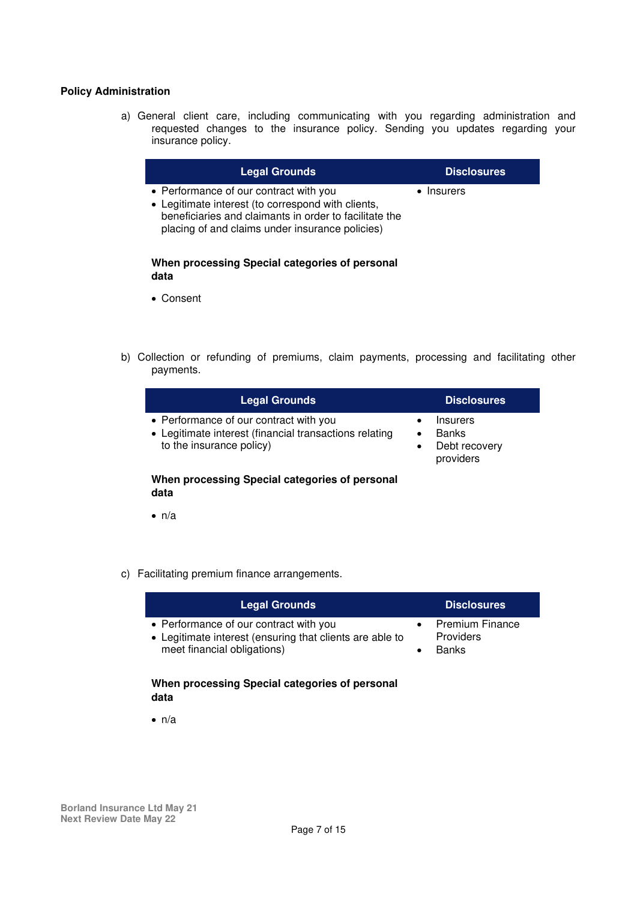# **Policy Administration**

a) General client care, including communicating with you regarding administration and requested changes to the insurance policy. Sending you updates regarding your insurance policy.

| <b>Legal Grounds</b>                                                                                                                                                                                      | <b>Disclosures</b>    |  |  |
|-----------------------------------------------------------------------------------------------------------------------------------------------------------------------------------------------------------|-----------------------|--|--|
| • Performance of our contract with you<br>• Legitimate interest (to correspond with clients,<br>beneficiaries and claimants in order to facilitate the<br>placing of and claims under insurance policies) | Insurers<br>$\bullet$ |  |  |
| When processing Special categories of personal<br>data                                                                                                                                                    |                       |  |  |

- Consent
- b) Collection or refunding of premiums, claim payments, processing and facilitating other payments.

| <b>Legal Grounds</b>                                                                                                         | <b>Disclosures</b>                                            |
|------------------------------------------------------------------------------------------------------------------------------|---------------------------------------------------------------|
| • Performance of our contract with you<br>• Legitimate interest (financial transactions relating<br>to the insurance policy) | <b>Insurers</b><br><b>Banks</b><br>Debt recovery<br>providers |

# **When processing Special categories of personal data**

• n/a

# c) Facilitating premium finance arrangements.

| • Performance of our contract with you                   | <b>Premium Finance</b> |
|----------------------------------------------------------|------------------------|
| • Legitimate interest (ensuring that clients are able to | Providers              |
| meet financial obligations)                              | <b>Banks</b>           |

# **data**

 $\bullet$  n/a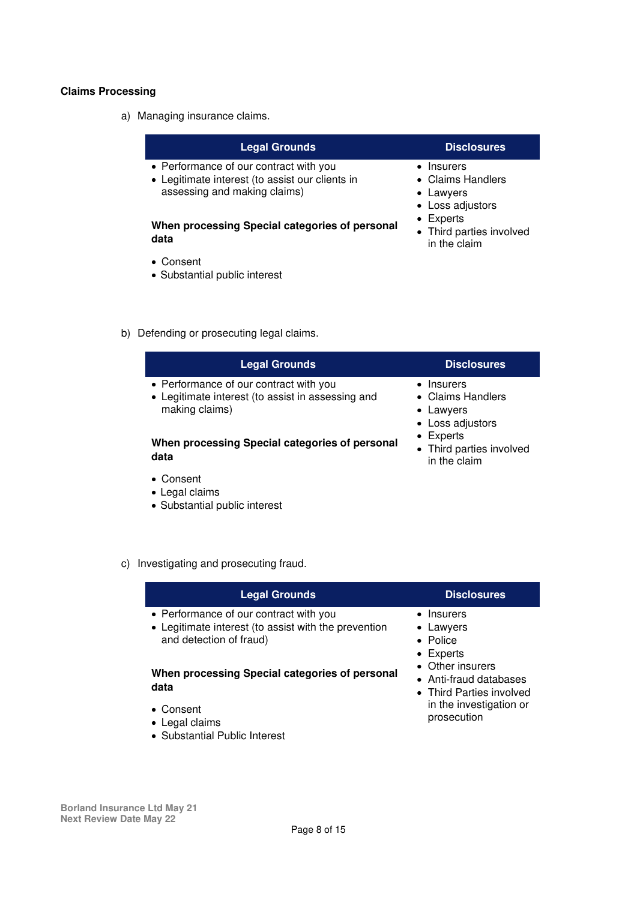# **Claims Processing**

a) Managing insurance claims.

| <b>Legal Grounds</b>                            | <b>Disclosures</b> |
|-------------------------------------------------|--------------------|
| • Performance of our contract with you          | • Insurers         |
| • Legitimate interest (to assist our clients in | • Claims Handlers  |
| assessing and making claims)                    | • Lawyers          |

**When processing Special categories of personal data**

- Consent
- Substantial public interest
- 
- Loss adjustors • Experts

prosecution

• Third parties involved in the claim

b) Defending or prosecuting legal claims.

| <b>Legal Grounds</b>                                                                                          | <b>Disclosures</b>                                                                |
|---------------------------------------------------------------------------------------------------------------|-----------------------------------------------------------------------------------|
| • Performance of our contract with you<br>• Legitimate interest (to assist in assessing and<br>making claims) | Insurers<br>• Claims Handlers<br>• Lawyers                                        |
| When processing Special categories of personal<br>data                                                        | • Loss adjustors<br>$\bullet$ Experts<br>• Third parties involved<br>in the claim |
| Consent                                                                                                       |                                                                                   |

- Legal claims
- Substantial public interest
- c) Investigating and prosecuting fraud.

| <b>Legal Grounds</b>                                                                                                      | <b>Disclosures</b>                                                                          |
|---------------------------------------------------------------------------------------------------------------------------|---------------------------------------------------------------------------------------------|
| • Performance of our contract with you<br>• Legitimate interest (to assist with the prevention<br>and detection of fraud) | Insurers<br>$\bullet$<br>• Lawyers<br>• Police                                              |
| When processing Special categories of personal<br>data                                                                    | $\bullet$ Experts<br>• Other insurers<br>• Anti-fraud databases<br>• Third Parties involved |
| Concont                                                                                                                   | in the investigation or                                                                     |

- Consent
- Legal claims
- Substantial Public Interest

#### **Borland Insurance Ltd May 21 Next Review Date May 22**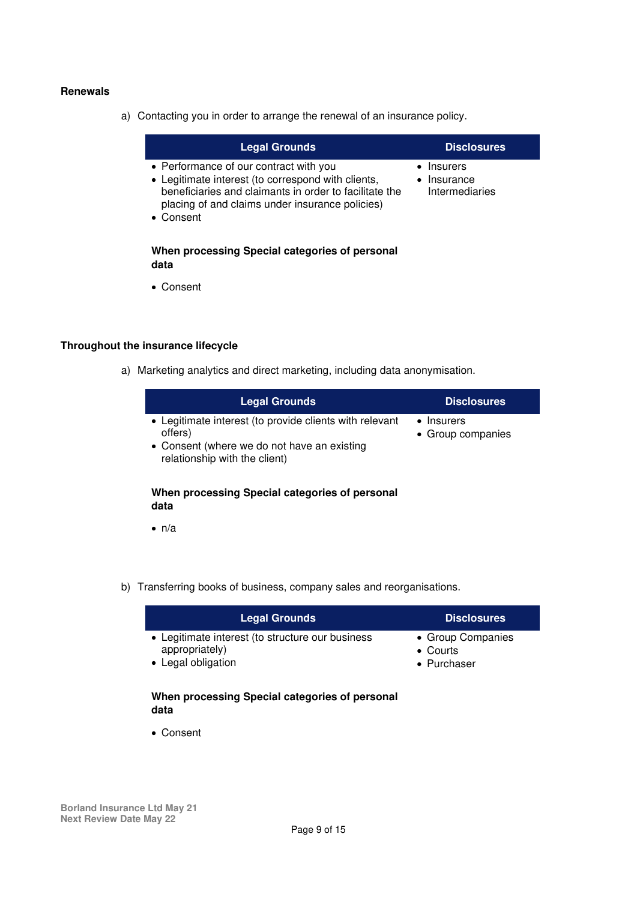# **Renewals**

a) Contacting you in order to arrange the renewal of an insurance policy.

| <b>Legal Grounds</b>                                                                                                                                                                                                   | <b>Disclosures</b>                      |
|------------------------------------------------------------------------------------------------------------------------------------------------------------------------------------------------------------------------|-----------------------------------------|
| • Performance of our contract with you<br>• Legitimate interest (to correspond with clients,<br>beneficiaries and claimants in order to facilitate the<br>placing of and claims under insurance policies)<br>• Consent | Insurers<br>Insurance<br>Intermediaries |
| When processing Special categories of personal<br>data                                                                                                                                                                 |                                         |

• Consent

# **Throughout the insurance lifecycle**

a) Marketing analytics and direct marketing, including data anonymisation.

| <b>Legal Grounds</b>                                                         | <b>Disclosures</b>              |
|------------------------------------------------------------------------------|---------------------------------|
| • Legitimate interest (to provide clients with relevant<br>offers)           | • Insurers<br>• Group companies |
| • Consent (where we do not have an existing<br>relationship with the client) |                                 |

# **When processing Special categories of personal data**

 $\bullet$  n/a

# b) Transferring books of business, company sales and reorganisations.

| <b>Legal Grounds</b>                             | <b>Disclosures</b> |
|--------------------------------------------------|--------------------|
| • Legitimate interest (to structure our business | • Group Companies  |
| appropriately)                                   | $\bullet$ Courts   |
| • Legal obligation                               | • Purchaser        |

# **When processing Special categories of personal data**

• Consent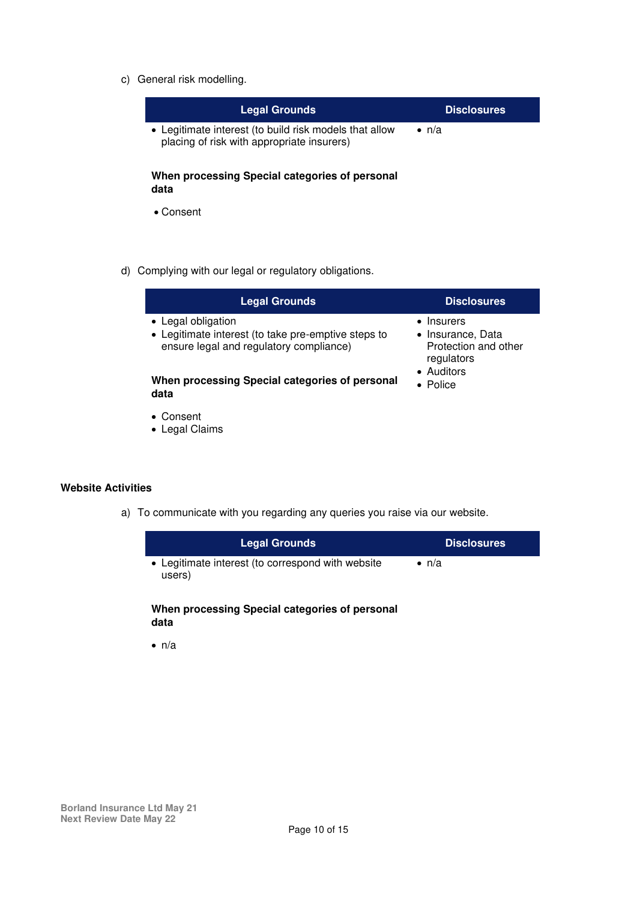c) General risk modelling.

|    | <b>Legal Grounds</b>                                                                                 | <b>Disclosures</b> |
|----|------------------------------------------------------------------------------------------------------|--------------------|
|    | • Legitimate interest (to build risk models that allow<br>placing of risk with appropriate insurers) | $\bullet$ n/a      |
|    | When processing Special categories of personal<br>data                                               |                    |
|    | • Consent                                                                                            |                    |
| d) | Complying with our legal or regulatory obligations.                                                  |                    |

| <b>Legal Grounds</b>                                                                                                 | <b>Disclosures</b>                                                                  |
|----------------------------------------------------------------------------------------------------------------------|-------------------------------------------------------------------------------------|
| • Legal obligation<br>• Legitimate interest (to take pre-emptive steps to<br>ensure legal and regulatory compliance) | • Insurers<br>• Insurance, Data<br>Protection and other<br>regulators<br>• Auditors |
| When processing Special categories of personal<br>data                                                               | $\bullet$ Police                                                                    |
| • Consent<br>• Legal Claims                                                                                          |                                                                                     |

# **Website Activities**

a) To communicate with you regarding any queries you raise via our website.

| <b>Legal Grounds</b>                                        | <b>Disclosures</b> |
|-------------------------------------------------------------|--------------------|
| • Legitimate interest (to correspond with website<br>users) | $\bullet$ n/a      |

# **When processing Special categories of personal data**

 $\bullet$  n/a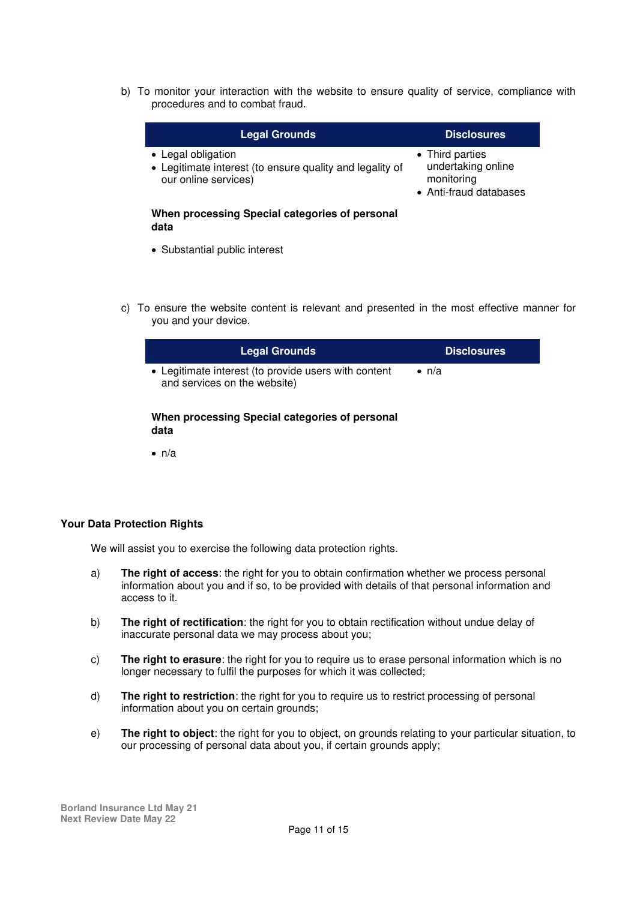b) To monitor your interaction with the website to ensure quality of service, compliance with procedures and to combat fraud.

| <b>Legal Grounds</b>                                                                                   | <b>Disclosures</b>                                                            |
|--------------------------------------------------------------------------------------------------------|-------------------------------------------------------------------------------|
| • Legal obligation<br>• Legitimate interest (to ensure quality and legality of<br>our online services) | • Third parties<br>undertaking online<br>monitoring<br>• Anti-fraud databases |
| When processing Special categories of personal                                                         |                                                                               |

• Substantial public interest

c) To ensure the website content is relevant and presented in the most effective manner for you and your device.

| <b>Legal Grounds</b>                                                                 | <b>Disclosures</b> |
|--------------------------------------------------------------------------------------|--------------------|
| • Legitimate interest (to provide users with content<br>and services on the website) | $\bullet$ n/a      |

# **When processing Special categories of personal data**

 $\bullet$  n/a

**data**

# **Your Data Protection Rights**

We will assist you to exercise the following data protection rights.

- a) **The right of access**: the right for you to obtain confirmation whether we process personal information about you and if so, to be provided with details of that personal information and access to it.
- b) **The right of rectification**: the right for you to obtain rectification without undue delay of inaccurate personal data we may process about you;
- c) **The right to erasure**: the right for you to require us to erase personal information which is no longer necessary to fulfil the purposes for which it was collected;
- d) **The right to restriction**: the right for you to require us to restrict processing of personal information about you on certain grounds;
- e) **The right to object**: the right for you to object, on grounds relating to your particular situation, to our processing of personal data about you, if certain grounds apply;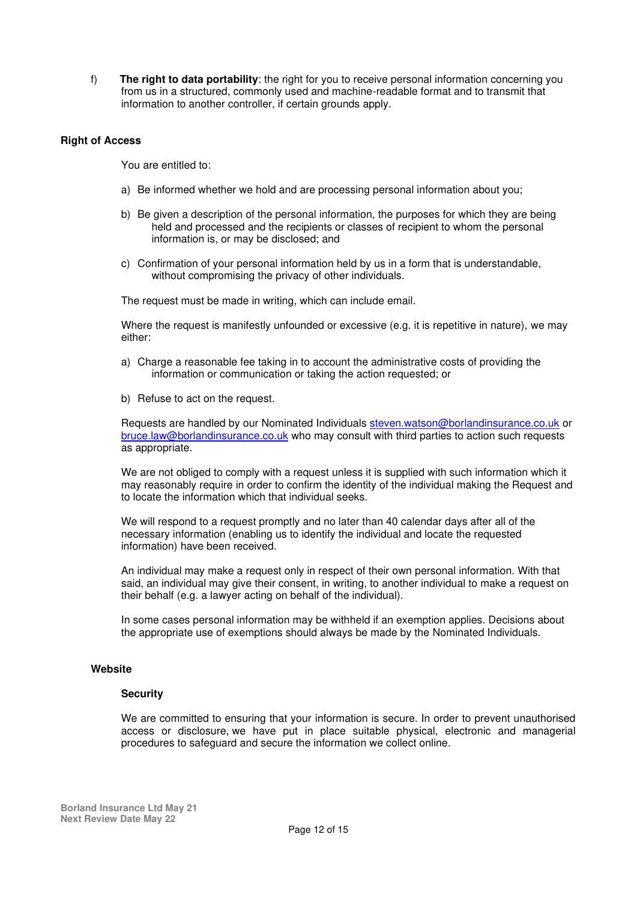f) **The right to data portability**: the right for you to receive personal information concerning you from us in a structured, commonly used and machine-readable format and to transmit that information to another controller, if certain grounds apply.

# **Right of Access**

You are entitled to:

- a) Be informed whether we hold and are processing personal information about you;
- b) Be given a description of the personal information, the purposes for which they are being held and processed and the recipients or classes of recipient to whom the personal information is, or may be disclosed; and
- c) Confirmation of your personal information held by us in a form that is understandable, without compromising the privacy of other individuals.

The request must be made in writing, which can include email.

Where the request is manifestly unfounded or excessive (e.g. it is repetitive in nature), we may either:

- a) Charge a reasonable fee taking in to account the administrative costs of providing the information or communication or taking the action requested; or
- b) Refuse to act on the request.

Requests are handled by our Nominated Individuals [steven.watson@borlandinsurance.co.uk](mailto:steven.watson@borlandinsurance.co.uk) or [bruce.law@borlandinsurance.co.uk](mailto:bruce.law@borlandinsurance.co.uk) who may consult with third parties to action such requests as appropriate.

We are not obliged to comply with a request unless it is supplied with such information which it may reasonably require in order to confirm the identity of the individual making the Request and to locate the information which that individual seeks.

We will respond to a request promptly and no later than 40 calendar days after all of the necessary information (enabling us to identify the individual and locate the requested information) have been received.

An individual may make a request only in respect of their own personal information. With that said, an individual may give their consent, in writing, to another individual to make a request on their behalf (e.g. a lawyer acting on behalf of the individual).

In some cases personal information may be withheld if an exemption applies. Decisions about the appropriate use of exemptions should always be made by the Nominated Individuals.

# **Website**

#### **Security**

We are committed to ensuring that your information is secure. In order to prevent unauthorised access or disclosure, we have put in place suitable physical, electronic and managerial procedures to safeguard and secure the information we collect online.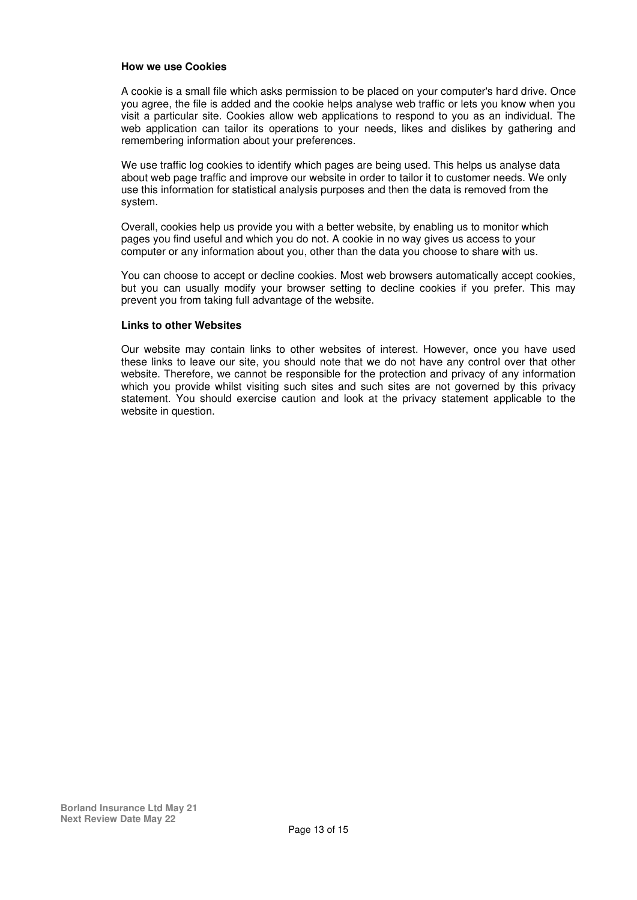#### **How we use Cookies**

A cookie is a small file which asks permission to be placed on your computer's hard drive. Once you agree, the file is added and the cookie helps analyse web traffic or lets you know when you visit a particular site. Cookies allow web applications to respond to you as an individual. The web application can tailor its operations to your needs, likes and dislikes by gathering and remembering information about your preferences.

We use traffic log cookies to identify which pages are being used. This helps us analyse data about web page traffic and improve our website in order to tailor it to customer needs. We only use this information for statistical analysis purposes and then the data is removed from the system.

Overall, cookies help us provide you with a better website, by enabling us to monitor which pages you find useful and which you do not. A cookie in no way gives us access to your computer or any information about you, other than the data you choose to share with us.

You can choose to accept or decline cookies. Most web browsers automatically accept cookies, but you can usually modify your browser setting to decline cookies if you prefer. This may prevent you from taking full advantage of the website.

#### **Links to other Websites**

Our website may contain links to other websites of interest. However, once you have used these links to leave our site, you should note that we do not have any control over that other website. Therefore, we cannot be responsible for the protection and privacy of any information which you provide whilst visiting such sites and such sites are not governed by this privacy statement. You should exercise caution and look at the privacy statement applicable to the website in question.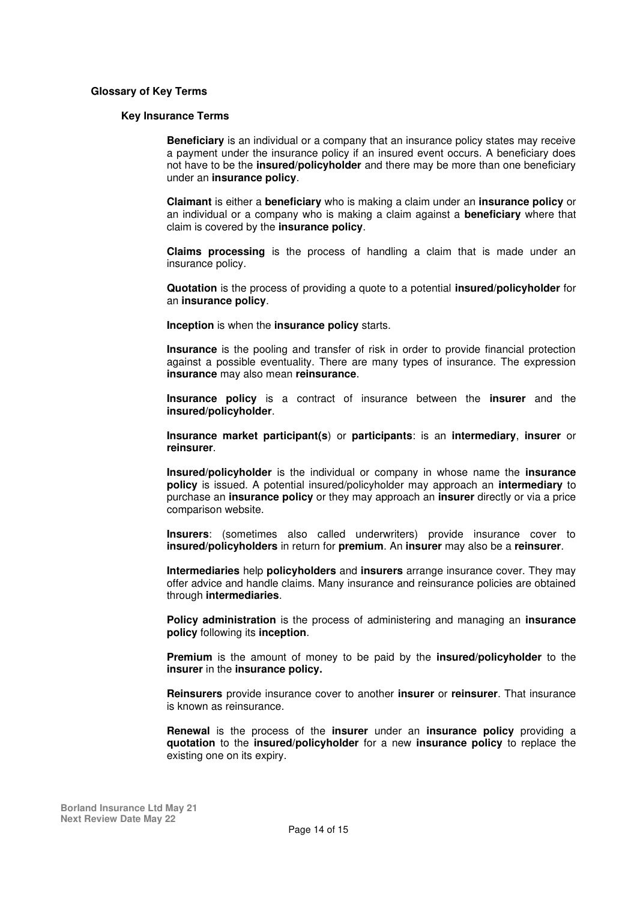#### **Glossary of Key Terms**

#### **Key Insurance Terms**

**Beneficiary** is an individual or a company that an insurance policy states may receive a payment under the insurance policy if an insured event occurs. A beneficiary does not have to be the **insured/policyholder** and there may be more than one beneficiary under an **insurance policy**.

**Claimant** is either a **beneficiary** who is making a claim under an **insurance policy** or an individual or a company who is making a claim against a **beneficiary** where that claim is covered by the **insurance policy**.

**Claims processing** is the process of handling a claim that is made under an insurance policy.

**Quotation** is the process of providing a quote to a potential **insured/policyholder** for an **insurance policy**.

**Inception** is when the **insurance policy** starts.

**Insurance** is the pooling and transfer of risk in order to provide financial protection against a possible eventuality. There are many types of insurance. The expression **insurance** may also mean **reinsurance**.

**Insurance policy** is a contract of insurance between the **insurer** and the **insured/policyholder**.

**Insurance market participant(s**) or **participants**: is an **intermediary**, **insurer** or **reinsurer**.

**Insured/policyholder** is the individual or company in whose name the **insurance policy** is issued. A potential insured/policyholder may approach an **intermediary** to purchase an **insurance policy** or they may approach an **insurer** directly or via a price comparison website.

**Insurers**: (sometimes also called underwriters) provide insurance cover to **insured/policyholders** in return for **premium**. An **insurer** may also be a **reinsurer**.

**Intermediaries** help **policyholders** and **insurers** arrange insurance cover. They may offer advice and handle claims. Many insurance and reinsurance policies are obtained through **intermediaries**.

**Policy administration** is the process of administering and managing an **insurance policy** following its **inception**.

**Premium** is the amount of money to be paid by the **insured/policyholder** to the **insurer** in the **insurance policy.** 

**Reinsurers** provide insurance cover to another **insurer** or **reinsurer**. That insurance is known as reinsurance.

**Renewal** is the process of the **insurer** under an **insurance policy** providing a **quotation** to the **insured/policyholder** for a new **insurance policy** to replace the existing one on its expiry.